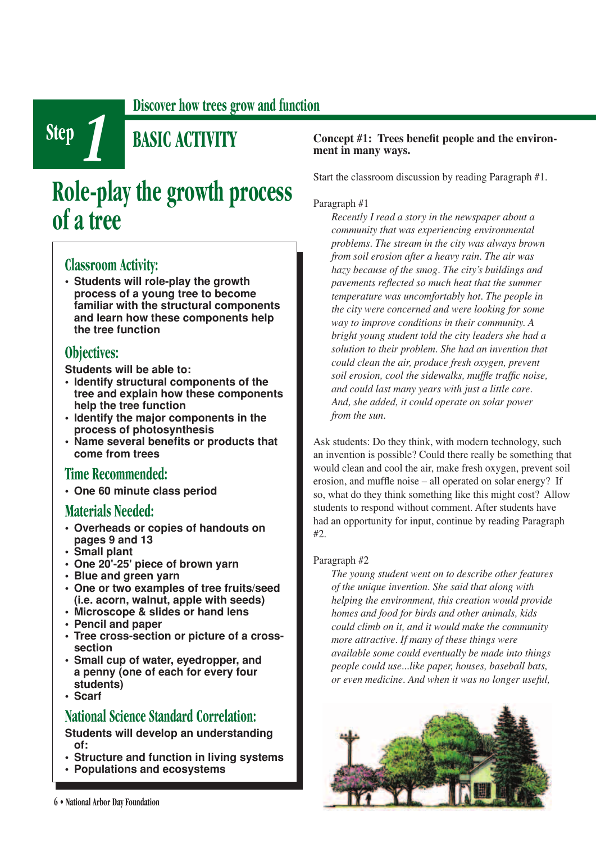**Discover how trees grow and function**

**Step** *1* **BASIC ACTIVITY**

# **Role-play the growth process of a tree**

# **Classroom Activity:**

**• Students will role-play the growth process of a young tree to become familiar with the structural components and learn how these components help the tree function** 

# **Objectives:**

**Students will be able to:**

- **Identify structural components of the tree and explain how these components help the tree function**
- **Identify the major components in the process of photosynthesis**
- Name several benefits or products that **come from trees**

## **Time Recommended:**

**• One 60 minute class period**

# **Materials Needed:**

- **Overheads or copies of handouts on pages 9 and 13**
- **Small plant**
- **One 20'-25' piece of brown yarn**
- **Blue and green yarn**
- **One or two examples of tree fruits/seed (i.e. acorn, walnut, apple with seeds)**
- **Microscope & slides or hand lens**
- **Pencil and paper**
- **Tree cross-section or picture of a crosssection**
- **Small cup of water, eyedropper, and a penny (one of each for every four students)**
- **Scarf**

# **National Science Standard Correlation:**

**Students will develop an understanding of:**

- **Structure and function in living systems**
- **Populations and ecosystems**

#### Concept #1: Trees benefit people and the environ**ment in many ways.**

Start the classroom discussion by reading Paragraph #1.

#### Paragraph #1

*Recently I read a story in the newspaper about a community that was experiencing environmental problems. The stream in the city was always brown from soil erosion after a heavy rain. The air was hazy because of the smog. The city's buildings and pavements reflected so much heat that the summer temperature was uncomfortably hot. The people in the city were concerned and were looking for some way to improve conditions in their community. A bright young student told the city leaders she had a solution to their problem. She had an invention that could clean the air, produce fresh oxygen, prevent soil erosion, cool the sidewalks, muffle traffic noise, and could last many years with just a little care. And, she added, it could operate on solar power from the sun.*

Ask students: Do they think, with modern technology, such an invention is possible? Could there really be something that would clean and cool the air, make fresh oxygen, prevent soil erosion, and muffle noise – all operated on solar energy? If so, what do they think something like this might cost? Allow students to respond without comment. After students have had an opportunity for input, continue by reading Paragraph  $#2$ 

#### Paragraph #2

*The young student went on to describe other features of the unique invention. She said that along with helping the environment, this creation would provide homes and food for birds and other animals, kids could climb on it, and it would make the community more attractive. If many of these things were available some could eventually be made into things people could use...like paper, houses, baseball bats, or even medicine. And when it was no longer useful,* 

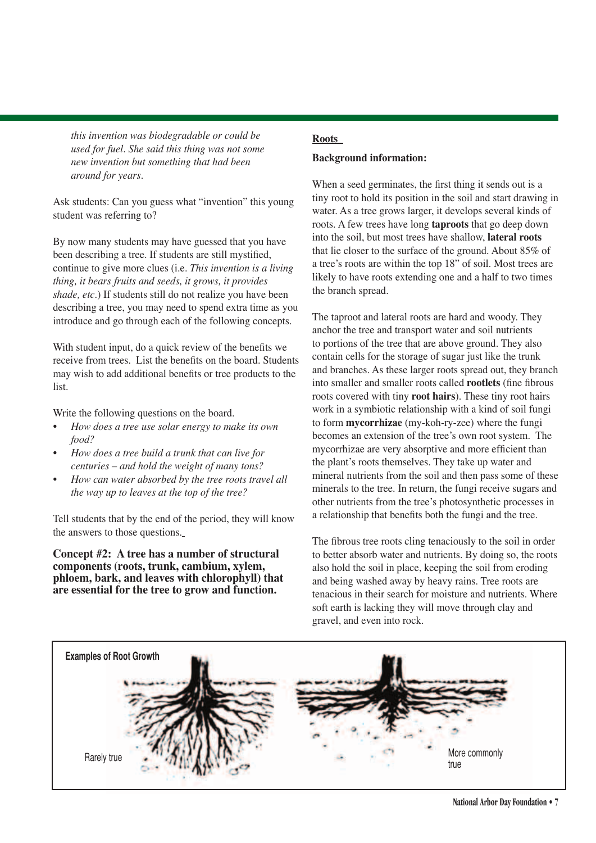*this invention was biodegradable or could be used for fuel. She said this thing was not some new invention but something that had been around for years.* 

Ask students: Can you guess what "invention" this young student was referring to?

By now many students may have guessed that you have been describing a tree. If students are still mystified, continue to give more clues (i.e. *This invention is a living thing, it bears fruits and seeds, it grows, it provides shade, etc.*) If students still do not realize you have been describing a tree, you may need to spend extra time as you introduce and go through each of the following concepts.

With student input, do a quick review of the benefits we receive from trees. List the benefits on the board. Students may wish to add additional benefits or tree products to the list.

Write the following questions on the board.

- *How does a tree use solar energy to make its own food?*
- *How does a tree build a trunk that can live for centuries – and hold the weight of many tons?*
- *How can water absorbed by the tree roots travel all the way up to leaves at the top of the tree?*

Tell students that by the end of the period, they will know the answers to those questions.

**Concept #2: A tree has a number of structural components (roots, trunk, cambium, xylem, phloem, bark, and leaves with chlorophyll) that are essential for the tree to grow and function.**

### **Roots Background information:**

When a seed germinates, the first thing it sends out is a tiny root to hold its position in the soil and start drawing in water. As a tree grows larger, it develops several kinds of roots. A few trees have long **taproots** that go deep down into the soil, but most trees have shallow, **lateral roots** that lie closer to the surface of the ground. About 85% of a tree's roots are within the top 18" of soil. Most trees are likely to have roots extending one and a half to two times the branch spread.

The taproot and lateral roots are hard and woody. They anchor the tree and transport water and soil nutrients to portions of the tree that are above ground. They also contain cells for the storage of sugar just like the trunk and branches. As these larger roots spread out, they branch into smaller and smaller roots called **rootlets** (fine fibrous roots covered with tiny **root hairs**). These tiny root hairs work in a symbiotic relationship with a kind of soil fungi to form **mycorrhizae** (my-koh-ry-zee) where the fungi becomes an extension of the tree's own root system. The mycorrhizae are very absorptive and more efficient than the plant's roots themselves. They take up water and mineral nutrients from the soil and then pass some of these minerals to the tree. In return, the fungi receive sugars and other nutrients from the tree's photosynthetic processes in a relationship that benefits both the fungi and the tree.

The fibrous tree roots cling tenaciously to the soil in order to better absorb water and nutrients. By doing so, the roots also hold the soil in place, keeping the soil from eroding and being washed away by heavy rains. Tree roots are tenacious in their search for moisture and nutrients. Where soft earth is lacking they will move through clay and gravel, and even into rock.

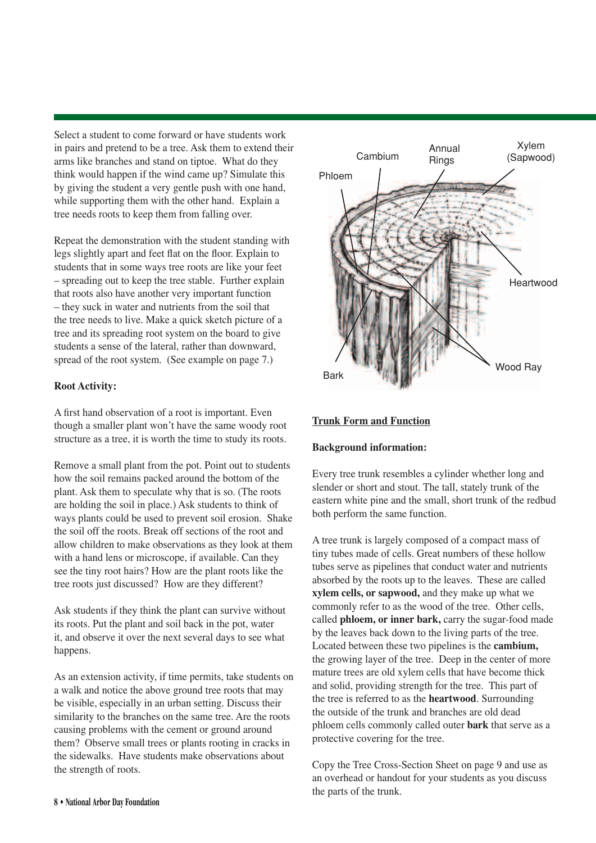Select a student to come forward or have students work in pairs and pretend to be a tree. Ask them to extend their arms like branches and stand on tiptoe. What do they think would happen if the wind came up? Simulate this by giving the student a very gentle push with one hand, while supporting them with the other hand. Explain a tree needs roots to keep them from falling over.

Repeat the demonstration with the student standing with legs slightly apart and feet flat on the floor. Explain to students that in some ways tree roots are like your feet – spreading out to keep the tree stable. Further explain that roots also have another very important function – they suck in water and nutrients from the soil that the tree needs to live. Make a quick sketch picture of a tree and its spreading root system on the board to give students a sense of the lateral, rather than downward, spread of the root system. (See example on page 7.)

#### **Root Activity:**

A first hand observation of a root is important. Even though a smaller plant won't have the same woody root structure as a tree, it is worth the time to study its roots.

Remove a small plant from the pot. Point out to students how the soil remains packed around the bottom of the plant. Ask them to speculate why that is so. (The roots are holding the soil in place.) Ask students to think of ways plants could be used to prevent soil erosion. Shake the soil off the roots. Break off sections of the root and allow children to make observations as they look at them with a hand lens or microscope, if available. Can they see the tiny root hairs? How are the plant roots like the tree roots just discussed? How are they different?

Ask students if they think the plant can survive without its roots. Put the plant and soil back in the pot, water it, and observe it over the next several days to see what happens.

As an extension activity, if time permits, take students on a walk and notice the above ground tree roots that may be visible, especially in an urban setting. Discuss their similarity to the branches on the same tree. Are the roots causing problems with the cement or ground around them? Observe small trees or plants rooting in cracks in the sidewalks. Have students make observations about the strength of roots.



#### **Trunk Form and Function**

#### **Background information:**

Every tree trunk resembles a cylinder whether long and slender or short and stout. The tall, stately trunk of the eastern white pine and the small, short trunk of the redbud both perform the same function.

A tree trunk is largely composed of a compact mass of tiny tubes made of cells. Great numbers of these hollow tubes serve as pipelines that conduct water and nutrients absorbed by the roots up to the leaves. These are called **xylem cells, or sapwood,** and they make up what we commonly refer to as the wood of the tree. Other cells, called **phloem, or inner bark,** carry the sugar-food made by the leaves back down to the living parts of the tree. Located between these two pipelines is the **cambium,** the growing layer of the tree. Deep in the center of more mature trees are old xylem cells that have become thick and solid, providing strength for the tree. This part of the tree is referred to as the **heartwood**. Surrounding the outside of the trunk and branches are old dead phloem cells commonly called outer **bark** that serve as a protective covering for the tree.

Copy the Tree Cross-Section Sheet on page 9 and use as an overhead or handout for your students as you discuss the parts of the trunk.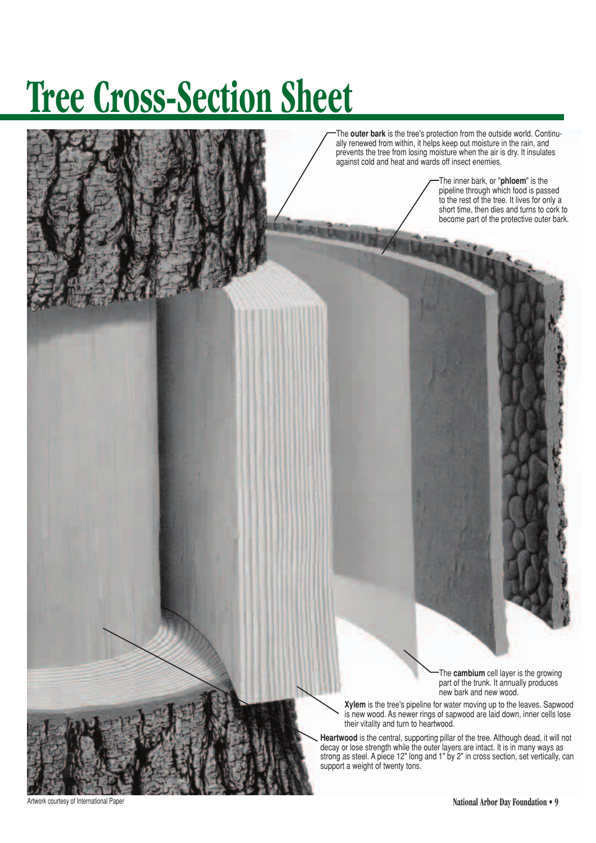# **Tree Cross-Section Sheet**

The **outer bark** is the tree's protection from the outside world. Continually renewed from within, it helps keep out moisture in the rain, and prevents the tree from losing moisture when the air is dry. It insulates against cold and heat and wards off insect enemies.

> The inner bark, or "**phloem**" is the pipeline through which food is passed to the rest of the tree. It lives for only a short time, then dies and turns to cork to become part of the protective outer bark.

The **cambium** cell layer is the growing part of the trunk. It annually produces new bark and new wood.

**Xylem** is the tree's pipeline for water moving up to the leaves. Sapwood is new wood. As newer rings of sapwood are laid down, inner cells lose their vitality and turn to heartwood.

**Heartwood** is the central, supporting pillar of the tree. Although dead, it will not decay or lose strength while the outer layers are intact. It is in many ways as strong as steel. A piece 12" long and 1" by 2" in cross section, set vertically, can support a weight of twenty tons.

Artwork courtesy of International Paper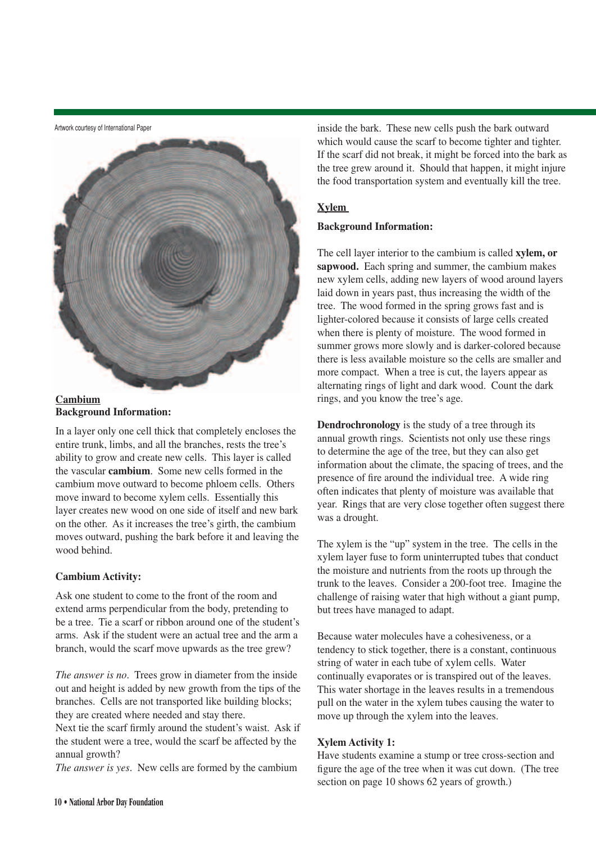Artwork courtesy of International Paper





In a layer only one cell thick that completely encloses the entire trunk, limbs, and all the branches, rests the tree's ability to grow and create new cells. This layer is called the vascular **cambium**. Some new cells formed in the cambium move outward to become phloem cells. Others move inward to become xylem cells. Essentially this layer creates new wood on one side of itself and new bark on the other. As it increases the tree's girth, the cambium moves outward, pushing the bark before it and leaving the wood behind.

#### **Cambium Activity:**

Ask one student to come to the front of the room and extend arms perpendicular from the body, pretending to be a tree. Tie a scarf or ribbon around one of the student's arms. Ask if the student were an actual tree and the arm a branch, would the scarf move upwards as the tree grew?

*The answer is no.* Trees grow in diameter from the inside out and height is added by new growth from the tips of the branches. Cells are not transported like building blocks; they are created where needed and stay there.

Next tie the scarf firmly around the student's waist. Ask if the student were a tree, would the scarf be affected by the annual growth?

*The answer is yes.* New cells are formed by the cambium

inside the bark. These new cells push the bark outward which would cause the scarf to become tighter and tighter. If the scarf did not break, it might be forced into the bark as the tree grew around it. Should that happen, it might injure the food transportation system and eventually kill the tree.

#### **Xylem**

#### **Background Information:**

The cell layer interior to the cambium is called **xylem, or sapwood.** Each spring and summer, the cambium makes new xylem cells, adding new layers of wood around layers laid down in years past, thus increasing the width of the tree. The wood formed in the spring grows fast and is lighter-colored because it consists of large cells created when there is plenty of moisture. The wood formed in summer grows more slowly and is darker-colored because there is less available moisture so the cells are smaller and more compact. When a tree is cut, the layers appear as alternating rings of light and dark wood. Count the dark rings, and you know the tree's age.

**Dendrochronology** is the study of a tree through its annual growth rings. Scientists not only use these rings to determine the age of the tree, but they can also get information about the climate, the spacing of trees, and the presence of fire around the individual tree. A wide ring often indicates that plenty of moisture was available that year. Rings that are very close together often suggest there was a drought.

The xylem is the "up" system in the tree. The cells in the xylem layer fuse to form uninterrupted tubes that conduct the moisture and nutrients from the roots up through the trunk to the leaves. Consider a 200-foot tree. Imagine the challenge of raising water that high without a giant pump, but trees have managed to adapt.

Because water molecules have a cohesiveness, or a tendency to stick together, there is a constant, continuous string of water in each tube of xylem cells. Water continually evaporates or is transpired out of the leaves. This water shortage in the leaves results in a tremendous pull on the water in the xylem tubes causing the water to move up through the xylem into the leaves.

#### **Xylem Activity 1:**

Have students examine a stump or tree cross-section and figure the age of the tree when it was cut down. (The tree section on page 10 shows 62 years of growth.)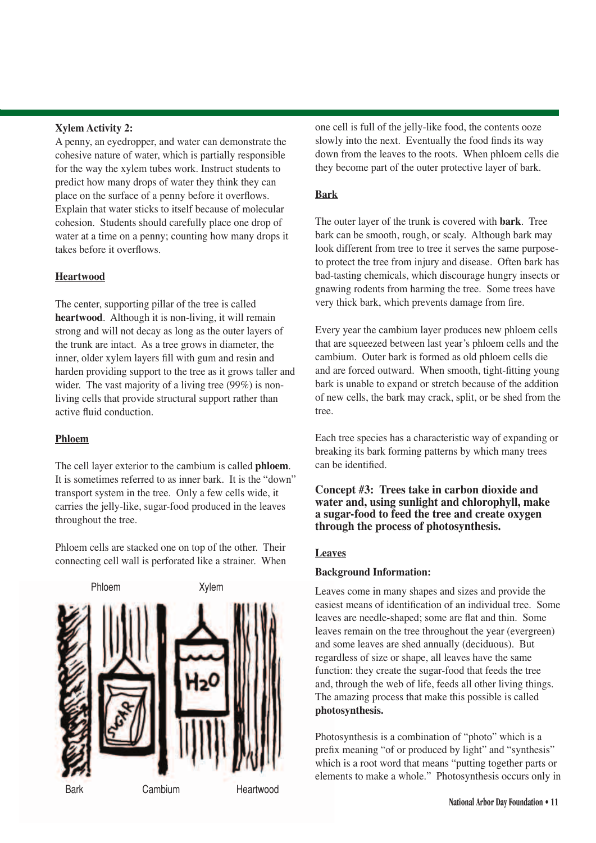#### **Xylem Activity 2:**

A penny, an eyedropper, and water can demonstrate the cohesive nature of water, which is partially responsible for the way the xylem tubes work. Instruct students to predict how many drops of water they think they can place on the surface of a penny before it overflows. Explain that water sticks to itself because of molecular cohesion. Students should carefully place one drop of water at a time on a penny; counting how many drops it takes before it overflows.

#### **Heartwood**

The center, supporting pillar of the tree is called **heartwood**. Although it is non-living, it will remain strong and will not decay as long as the outer layers of the trunk are intact. As a tree grows in diameter, the inner, older xylem layers fill with gum and resin and harden providing support to the tree as it grows taller and wider. The vast majority of a living tree (99%) is nonliving cells that provide structural support rather than active fluid conduction.

#### **Phloem**

The cell layer exterior to the cambium is called **phloem**. It is sometimes referred to as inner bark. It is the "down" transport system in the tree. Only a few cells wide, it carries the jelly-like, sugar-food produced in the leaves throughout the tree.

Phloem cells are stacked one on top of the other. Their connecting cell wall is perforated like a strainer. When



one cell is full of the jelly-like food, the contents ooze slowly into the next. Eventually the food finds its way down from the leaves to the roots. When phloem cells die they become part of the outer protective layer of bark.

#### **Bark**

The outer layer of the trunk is covered with **bark**. Tree bark can be smooth, rough, or scaly. Although bark may look different from tree to tree it serves the same purposeto protect the tree from injury and disease. Often bark has bad-tasting chemicals, which discourage hungry insects or gnawing rodents from harming the tree. Some trees have very thick bark, which prevents damage from fire.

Every year the cambium layer produces new phloem cells that are squeezed between last year's phloem cells and the cambium. Outer bark is formed as old phloem cells die and are forced outward. When smooth, tight-fitting young bark is unable to expand or stretch because of the addition of new cells, the bark may crack, split, or be shed from the tree.

Each tree species has a characteristic way of expanding or breaking its bark forming patterns by which many trees can be identified.

#### **Concept #3: Trees take in carbon dioxide and water and, using sunlight and chlorophyll, make a sugar-food to feed the tree and create oxygen through the process of photosynthesis.**

#### **Leaves**

#### **Background Information:**

Leaves come in many shapes and sizes and provide the easiest means of identification of an individual tree. Some leaves are needle-shaped; some are flat and thin. Some leaves remain on the tree throughout the year (evergreen) and some leaves are shed annually (deciduous). But regardless of size or shape, all leaves have the same function: they create the sugar-food that feeds the tree and, through the web of life, feeds all other living things. The amazing process that make this possible is called **photosynthesis.**

Photosynthesis is a combination of "photo" which is a prefix meaning "of or produced by light" and "synthesis" which is a root word that means "putting together parts or elements to make a whole." Photosynthesis occurs only in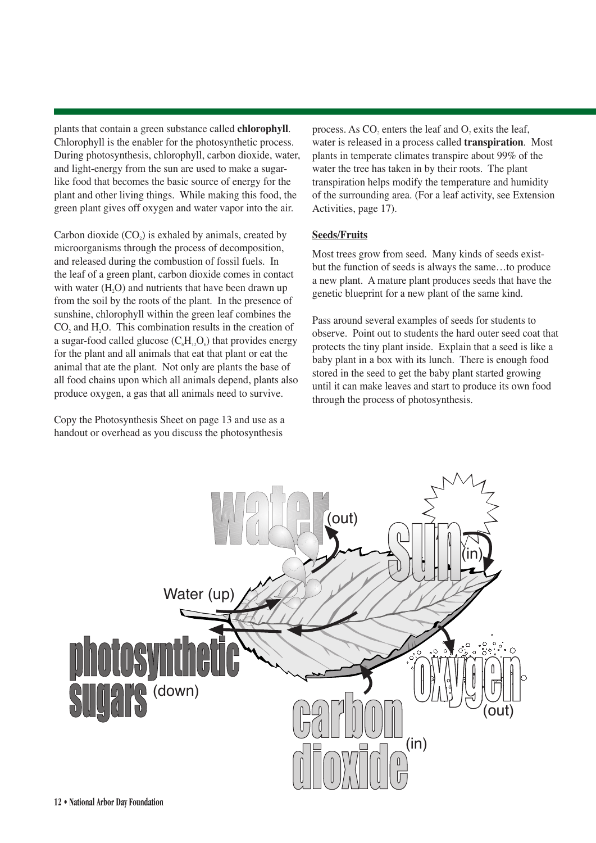plants that contain a green substance called **chlorophyll**. Chlorophyll is the enabler for the photosynthetic process. During photosynthesis, chlorophyll, carbon dioxide, water, and light-energy from the sun are used to make a sugarlike food that becomes the basic source of energy for the plant and other living things. While making this food, the green plant gives off oxygen and water vapor into the air.

Carbon dioxide  $(CO<sub>2</sub>)$  is exhaled by animals, created by microorganisms through the process of decomposition, and released during the combustion of fossil fuels. In the leaf of a green plant, carbon dioxide comes in contact with water  $(H<sub>2</sub>O)$  and nutrients that have been drawn up from the soil by the roots of the plant. In the presence of sunshine, chlorophyll within the green leaf combines the CO<sub>2</sub> and H<sub>2</sub>O<sub>2</sub>. This combination results in the creation of a sugar-food called glucose  $(C<sub>6</sub>H<sub>12</sub>O<sub>6</sub>)$  that provides energy for the plant and all animals that eat that plant or eat the animal that ate the plant. Not only are plants the base of all food chains upon which all animals depend, plants also produce oxygen, a gas that all animals need to survive.

Copy the Photosynthesis Sheet on page 13 and use as a handout or overhead as you discuss the photosynthesis

process. As  $CO$ , enters the leaf and  $O$ , exits the leaf, water is released in a process called **transpiration**. Most plants in temperate climates transpire about 99% of the water the tree has taken in by their roots. The plant transpiration helps modify the temperature and humidity of the surrounding area. (For a leaf activity, see Extension Activities, page 17).

#### **Seeds/Fruits**

Most trees grow from seed. Many kinds of seeds existbut the function of seeds is always the same…to produce a new plant. A mature plant produces seeds that have the genetic blueprint for a new plant of the same kind.

Pass around several examples of seeds for students to observe. Point out to students the hard outer seed coat that protects the tiny plant inside. Explain that a seed is like a baby plant in a box with its lunch. There is enough food stored in the seed to get the baby plant started growing until it can make leaves and start to produce its own food through the process of photosynthesis.

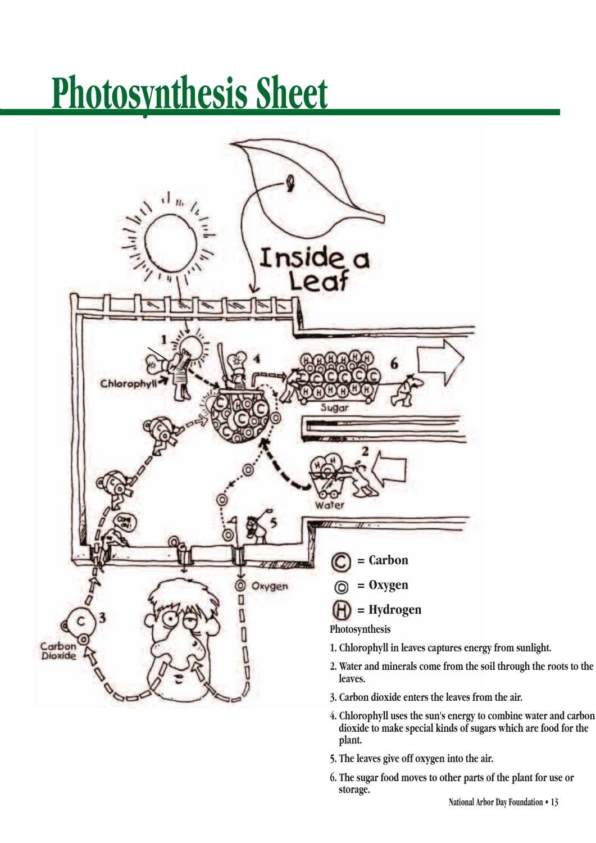# **Photosynthesis Sheet**



- **4. Chlorophyll uses the sun's energy to combine water and carbon dioxide to make special kinds of sugars which are food for the plant.**
- **5. The leaves give off oxygen into the air.**
- **6. The sugar food moves to other parts of the plant for use or storage.**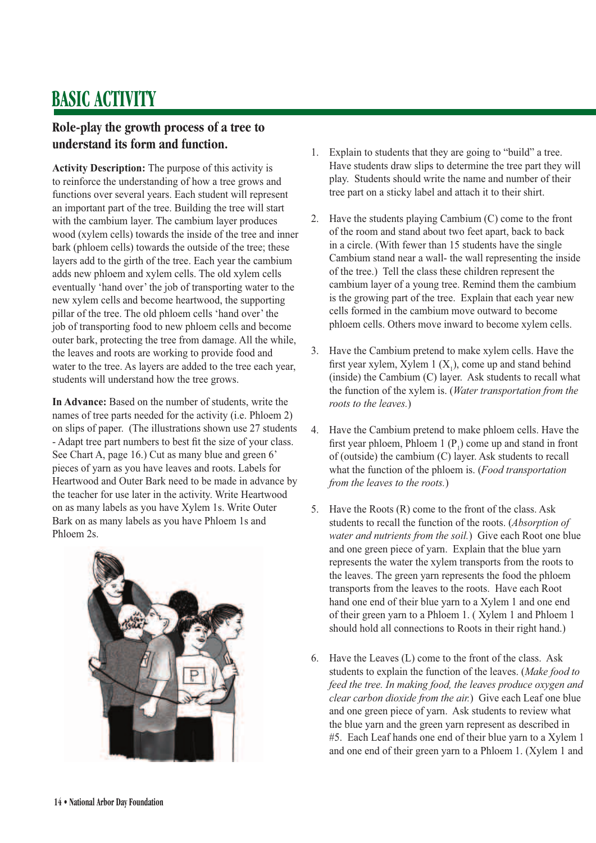# **BASIC ACTIVITY**

# **Role-play the growth process of a tree to understand its form and function.**

**Activity Description:** The purpose of this activity is to reinforce the understanding of how a tree grows and functions over several years. Each student will represent an important part of the tree. Building the tree will start with the cambium layer. The cambium layer produces wood (xylem cells) towards the inside of the tree and inner bark (phloem cells) towards the outside of the tree; these layers add to the girth of the tree. Each year the cambium adds new phloem and xylem cells. The old xylem cells eventually 'hand over' the job of transporting water to the new xylem cells and become heartwood, the supporting pillar of the tree. The old phloem cells 'hand over' the job of transporting food to new phloem cells and become outer bark, protecting the tree from damage. All the while, the leaves and roots are working to provide food and water to the tree. As layers are added to the tree each year, students will understand how the tree grows.

**In Advance:** Based on the number of students, write the names of tree parts needed for the activity (i.e. Phloem 2) on slips of paper. (The illustrations shown use 27 students - Adapt tree part numbers to best fit the size of your class. See Chart A, page 16.) Cut as many blue and green 6' pieces of yarn as you have leaves and roots. Labels for Heartwood and Outer Bark need to be made in advance by the teacher for use later in the activity. Write Heartwood on as many labels as you have Xylem 1s. Write Outer Bark on as many labels as you have Phloem 1s and Phloem 2s.



- 1. Explain to students that they are going to "build" a tree. Have students draw slips to determine the tree part they will play. Students should write the name and number of their tree part on a sticky label and attach it to their shirt.
- 2. Have the students playing Cambium (C) come to the front of the room and stand about two feet apart, back to back in a circle. (With fewer than 15 students have the single Cambium stand near a wall- the wall representing the inside of the tree.) Tell the class these children represent the cambium layer of a young tree. Remind them the cambium is the growing part of the tree. Explain that each year new cells formed in the cambium move outward to become phloem cells. Others move inward to become xylem cells.
- 3. Have the Cambium pretend to make xylem cells. Have the first year xylem, Xylem 1  $(X_1)$ , come up and stand behind (inside) the Cambium (C) layer. Ask students to recall what the function of the xylem is. (*Water transportation from the roots to the leaves.*)
- 4. Have the Cambium pretend to make phloem cells. Have the first year phloem, Phloem 1  $(P_1)$  come up and stand in front of (outside) the cambium (C) layer. Ask students to recall what the function of the phloem is. (*Food transportation from the leaves to the roots.*)
- 5. Have the Roots (R) come to the front of the class. Ask students to recall the function of the roots. (*Absorption of water and nutrients from the soil.*) Give each Root one blue and one green piece of yarn. Explain that the blue yarn represents the water the xylem transports from the roots to the leaves. The green yarn represents the food the phloem transports from the leaves to the roots. Have each Root hand one end of their blue yarn to a Xylem 1 and one end of their green yarn to a Phloem 1. ( Xylem 1 and Phloem 1 should hold all connections to Roots in their right hand.)
- 6. Have the Leaves (L) come to the front of the class. Ask students to explain the function of the leaves. (*Make food to feed the tree. In making food, the leaves produce oxygen and clear carbon dioxide from the air.*) Give each Leaf one blue and one green piece of yarn. Ask students to review what the blue yarn and the green yarn represent as described in #5. Each Leaf hands one end of their blue yarn to a Xylem 1 and one end of their green yarn to a Phloem 1. (Xylem 1 and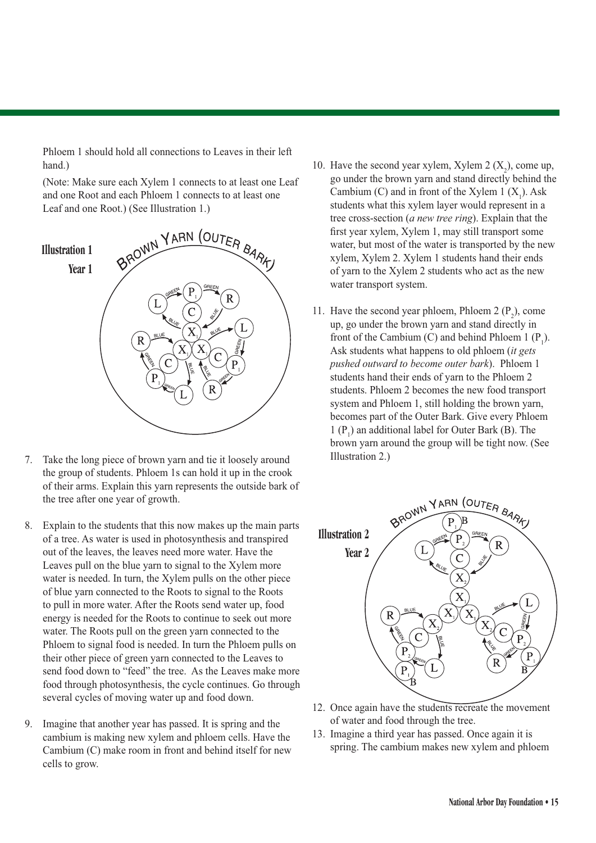Phloem 1 should hold all connections to Leaves in their left hand.)

 (Note: Make sure each Xylem 1 connects to at least one Leaf and one Root and each Phloem 1 connects to at least one Leaf and one Root.) (See Illustration 1.)



- 7. Take the long piece of brown yarn and tie it loosely around the group of students. Phloem 1s can hold it up in the crook of their arms. Explain this yarn represents the outside bark of the tree after one year of growth.
- 8. Explain to the students that this now makes up the main parts of a tree. As water is used in photosynthesis and transpired out of the leaves, the leaves need more water. Have the Leaves pull on the blue yarn to signal to the Xylem more water is needed. In turn, the Xylem pulls on the other piece of blue yarn connected to the Roots to signal to the Roots to pull in more water. After the Roots send water up, food energy is needed for the Roots to continue to seek out more water. The Roots pull on the green yarn connected to the Phloem to signal food is needed. In turn the Phloem pulls on their other piece of green yarn connected to the Leaves to send food down to "feed" the tree. As the Leaves make more food through photosynthesis, the cycle continues. Go through several cycles of moving water up and food down.
- 9. Imagine that another year has passed. It is spring and the cambium is making new xylem and phloem cells. Have the Cambium (C) make room in front and behind itself for new cells to grow.
- 10. Have the second year xylem, Xylem 2  $(X_2)$ , come up, go under the brown yarn and stand directly behind the Cambium (C) and in front of the Xylem 1  $(X_1)$ . Ask students what this xylem layer would represent in a tree cross-section (*a new tree ring*). Explain that the first year xylem, Xylem 1, may still transport some water, but most of the water is transported by the new xylem, Xylem 2. Xylem 1 students hand their ends of yarn to the Xylem 2 students who act as the new water transport system.
- 11. Have the second year phloem, Phloem 2  $(P_2)$ , come up, go under the brown yarn and stand directly in front of the Cambium (C) and behind Phloem 1  $(P_1)$ . Ask students what happens to old phloem (*it gets pushed outward to become outer bark*). Phloem 1 students hand their ends of yarn to the Phloem 2 students. Phloem 2 becomes the new food transport system and Phloem 1, still holding the brown yarn, becomes part of the Outer Bark. Give every Phloem 1  $(P_1)$  an additional label for Outer Bark (B). The brown yarn around the group will be tight now. (See Illustration 2.)



- 12. Once again have the students recreate the movement of water and food through the tree.
- 13. Imagine a third year has passed. Once again it is spring. The cambium makes new xylem and phloem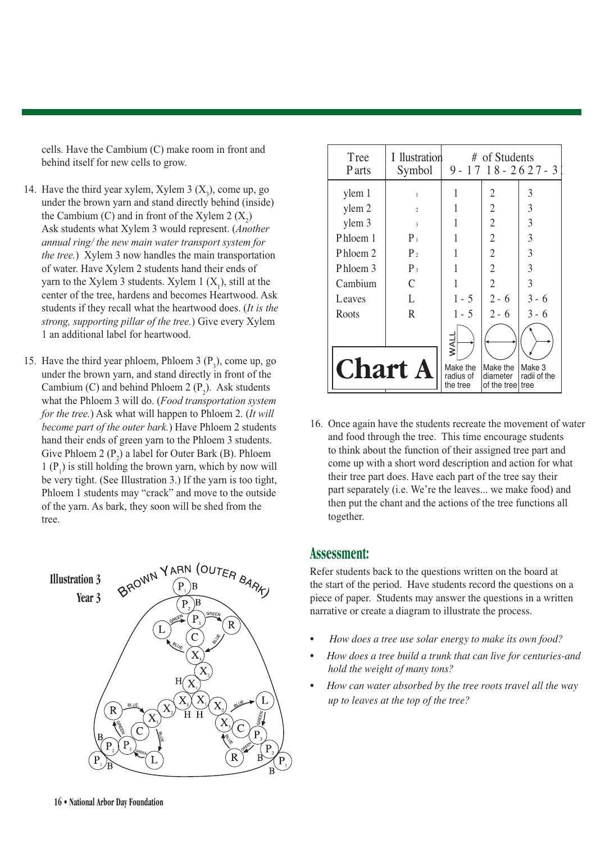cells. Have the Cambium (C) make room in front and behind itself for new cells to grow.

- 14. Have the third year xylem, Xylem  $3(X_3)$ , come up, go under the brown yarn and stand directly behind (inside) the Cambium (C) and in front of the Xylem 2  $(X_2)$ . Ask students what Xylem 3 would represent. (*Another annual ring/ the new main water transport system for the tree.*) Xylem 3 now handles the main transportation of water. Have Xylem 2 students hand their ends of yarn to the Xylem 3 students. Xylem  $1(X_1)$ , still at the center of the tree, hardens and becomes Heartwood. Ask students if they recall what the heartwood does. (*It is the strong, supporting pillar of the tree.*) Give every Xylem 1 an additional label for heartwood.
- 15. Have the third year phloem, Phloem 3  $(P_3)$ , come up, go under the brown yarn, and stand directly in front of the Cambium (C) and behind Phloem 2  $(P_2)$ . Ask students what the Phloem 3 will do. (*Food transportation system for the tree.*) Ask what will happen to Phloem 2. (*It will become part of the outer bark.*) Have Phloem 2 students hand their ends of green yarn to the Phloem 3 students. Give Phloem 2  $(P_2)$  a label for Outer Bark (B). Phloem  $1 (P_1)$  is still holding the brown yarn, which by now will be very tight. (See Illustration 3.) If the yarn is too tight, Phloem 1 students may "crack" and move to the outside of the yarn. As bark, they soon will be shed from the tree.



| Tree<br>P arts | I llustration<br>Symbol |                                   | # of Students<br>$9 - 17$ $18 - 26$ $27 - 3$ |                        |  |
|----------------|-------------------------|-----------------------------------|----------------------------------------------|------------------------|--|
| ylem 1         | $\mathbf{1}$            | 1                                 | 2                                            | 3                      |  |
| ylem 2         | $\overline{2}$          |                                   | $\overline{2}$                               | 3                      |  |
| ylem 3         | 3                       |                                   | $\overline{2}$                               | 3                      |  |
| Phloem 1       | $P_1$                   |                                   | $\overline{2}$                               | 3                      |  |
| Phloem 2       | P <sub>2</sub>          |                                   | $\overline{2}$                               | 3                      |  |
| Phloem 3       | $P_3$                   |                                   | $\overline{2}$                               | 3                      |  |
| Cambium        | $\mathcal{C}$           |                                   | $\overline{2}$                               | 3                      |  |
| Leaves         | L                       | $1 - 5$                           | $2 - 6$                                      | $3 - 6$                |  |
| Roots          | R.                      | $1 - 5$                           | $2 - 6$                                      | $3 - 6$                |  |
|                |                         | <b>UVW</b>                        |                                              |                        |  |
| <b>Chart A</b> |                         | Make the<br>radius of<br>the tree | Make the<br>diameter<br>of the treel tree    | Make 3<br>radii of the |  |

16. Once again have the students recreate the movement of water and food through the tree. This time encourage students to think about the function of their assigned tree part and come up with a short word description and action for what their tree part does. Have each part of the tree say their part separately (i.e. We're the leaves... we make food) and then put the chant and the actions of the tree functions all together.

### **Assessment:**

Refer students back to the questions written on the board at the start of the period. Have students record the questions on a piece of paper. Students may answer the questions in a written narrative or create a diagram to illustrate the process.

- *How does a tree use solar energy to make its own food?*
- *How does a tree build a trunk that can live for centuries-and hold the weight of many tons?*
- *How can water absorbed by the tree roots travel all the way up to leaves at the top of the tree?*